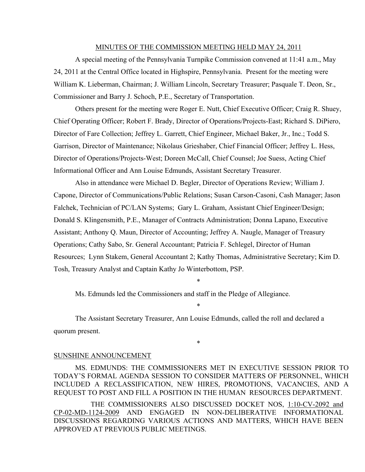### MINUTES OF THE COMMISSION MEETING HELD MAY 24, 2011

A special meeting of the Pennsylvania Turnpike Commission convened at 11:41 a.m., May 24, 2011 at the Central Office located in Highspire, Pennsylvania. Present for the meeting were William K. Lieberman, Chairman; J. William Lincoln, Secretary Treasurer; Pasquale T. Deon, Sr., Commissioner and Barry J. Schoch, P.E., Secretary of Transportation.

Others present for the meeting were Roger E. Nutt, Chief Executive Officer; Craig R. Shuey, Chief Operating Officer; Robert F. Brady, Director of Operations/Projects-East; Richard S. DiPiero, Director of Fare Collection; Jeffrey L. Garrett, Chief Engineer, Michael Baker, Jr., Inc.; Todd S. Garrison, Director of Maintenance; Nikolaus Grieshaber, Chief Financial Officer; Jeffrey L. Hess, Director of Operations/Projects-West; Doreen McCall, Chief Counsel; Joe Suess, Acting Chief Informational Officer and Ann Louise Edmunds, Assistant Secretary Treasurer.

Also in attendance were Michael D. Begler, Director of Operations Review; William J. Capone, Director of Communications/Public Relations; Susan Carson-Casoni, Cash Manager; Jason Falchek, Technician of PC/LAN Systems; Gary L. Graham, Assistant Chief Engineer/Design; Donald S. Klingensmith, P.E., Manager of Contracts Administration; Donna Lapano, Executive Assistant; Anthony Q. Maun, Director of Accounting; Jeffrey A. Naugle, Manager of Treasury Operations; Cathy Sabo, Sr. General Accountant; Patricia F. Schlegel, Director of Human Resources; Lynn Stakem, General Accountant 2; Kathy Thomas, Administrative Secretary; Kim D. Tosh, Treasury Analyst and Captain Kathy Jo Winterbottom, PSP.

\*

\*

\*

Ms. Edmunds led the Commissioners and staff in the Pledge of Allegiance.

The Assistant Secretary Treasurer, Ann Louise Edmunds, called the roll and declared a quorum present.

#### SUNSHINE ANNOUNCEMENT

MS. EDMUNDS: THE COMMISSIONERS MET IN EXECUTIVE SESSION PRIOR TO TODAY'S FORMAL AGENDA SESSION TO CONSIDER MATTERS OF PERSONNEL, WHICH INCLUDED A RECLASSIFICATION, NEW HIRES, PROMOTIONS, VACANCIES, AND A REQUEST TO POST AND FILL A POSITION IN THE HUMAN RESOURCES DEPARTMENT.

THE COMMISSIONERS ALSO DISCUSSED DOCKET NOS, 1:10-CV-2092 and CP-02-MD-1124-2009 AND ENGAGED IN NON-DELIBERATIVE INFORMATIONAL DISCUSSIONS REGARDING VARIOUS ACTIONS AND MATTERS, WHICH HAVE BEEN APPROVED AT PREVIOUS PUBLIC MEETINGS.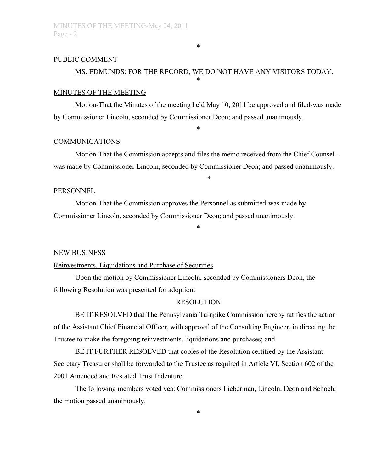### PUBLIC COMMENT

# MS. EDMUNDS: FOR THE RECORD, WE DO NOT HAVE ANY VISITORS TODAY.

\*

\*

### MINUTES OF THE MEETING

Motion-That the Minutes of the meeting held May 10, 2011 be approved and filed-was made by Commissioner Lincoln, seconded by Commissioner Deon; and passed unanimously.

\*

### COMMUNICATIONS

Motion-That the Commission accepts and files the memo received from the Chief Counsel was made by Commissioner Lincoln, seconded by Commissioner Deon; and passed unanimously.

\*

#### PERSONNEL

Motion-That the Commission approves the Personnel as submitted-was made by Commissioner Lincoln, seconded by Commissioner Deon; and passed unanimously.

### NEW BUSINESS

### Reinvestments, Liquidations and Purchase of Securities

Upon the motion by Commissioner Lincoln, seconded by Commissioners Deon, the following Resolution was presented for adoption:

### RESOLUTION

\*

BE IT RESOLVED that The Pennsylvania Turnpike Commission hereby ratifies the action of the Assistant Chief Financial Officer, with approval of the Consulting Engineer, in directing the Trustee to make the foregoing reinvestments, liquidations and purchases; and

BE IT FURTHER RESOLVED that copies of the Resolution certified by the Assistant Secretary Treasurer shall be forwarded to the Trustee as required in Article VI, Section 602 of the 2001 Amended and Restated Trust Indenture.

The following members voted yea: Commissioners Lieberman, Lincoln, Deon and Schoch; the motion passed unanimously.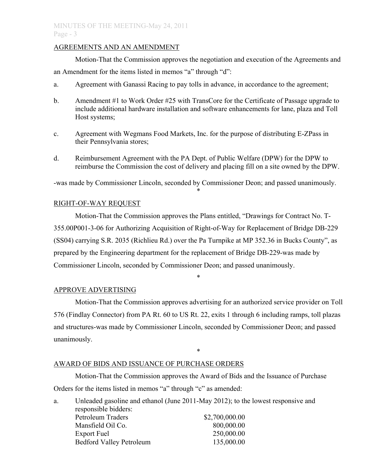# AGREEMENTS AND AN AMENDMENT

Motion-That the Commission approves the negotiation and execution of the Agreements and an Amendment for the items listed in memos "a" through "d":

- a. Agreement with Ganassi Racing to pay tolls in advance, in accordance to the agreement;
- b. Amendment #1 to Work Order #25 with TransCore for the Certificate of Passage upgrade to include additional hardware installation and software enhancements for lane, plaza and Toll Host systems;
- c. Agreement with Wegmans Food Markets, Inc. for the purpose of distributing E-ZPass in their Pennsylvania stores;
- d. Reimbursement Agreement with the PA Dept. of Public Welfare (DPW) for the DPW to reimburse the Commission the cost of delivery and placing fill on a site owned by the DPW.

-was made by Commissioner Lincoln, seconded by Commissioner Deon; and passed unanimously. \*

# RIGHT-OF-WAY REQUEST

Motion-That the Commission approves the Plans entitled, "Drawings for Contract No. T-355.00P001-3-06 for Authorizing Acquisition of Right-of-Way for Replacement of Bridge DB-229 (SS04) carrying S.R. 2035 (Richlieu Rd.) over the Pa Turnpike at MP 352.36 in Bucks County", as prepared by the Engineering department for the replacement of Bridge DB-229-was made by Commissioner Lincoln, seconded by Commissioner Deon; and passed unanimously.

\*

# APPROVE ADVERTISING

Motion-That the Commission approves advertising for an authorized service provider on Toll 576 (Findlay Connector) from PA Rt. 60 to US Rt. 22, exits 1 through 6 including ramps, toll plazas and structures-was made by Commissioner Lincoln, seconded by Commissioner Deon; and passed unanimously.

\*

## AWARD OF BIDS AND ISSUANCE OF PURCHASE ORDERS

Motion-That the Commission approves the Award of Bids and the Issuance of Purchase Orders for the items listed in memos "a" through "c" as amended:

a. Unleaded gasoline and ethanol (June 2011-May 2012); to the lowest responsive and responsible bidders: Petroleum Traders \$2,700,000.00 Mansfield Oil Co. 800,000.00 Export Fuel 250,000.00 Bedford Valley Petroleum 135,000.00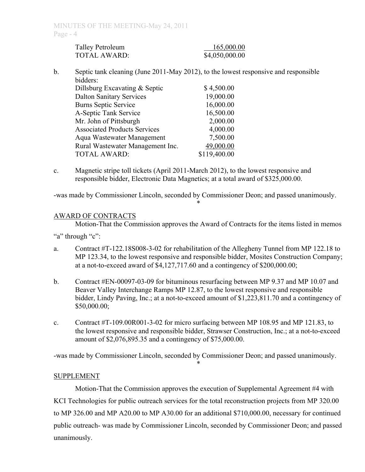| Talley Petroleum | 165,000.00     |
|------------------|----------------|
| TOTAL AWARD:     | \$4,050,000.00 |

b. Septic tank cleaning (June 2011-May 2012), to the lowest responsive and responsible bidders:

| Dillsburg Excavating & Septic       | \$4,500.00   |
|-------------------------------------|--------------|
| <b>Dalton Sanitary Services</b>     | 19,000.00    |
| <b>Burns Septic Service</b>         | 16,000.00    |
| A-Septic Tank Service               | 16,500.00    |
| Mr. John of Pittsburgh              | 2,000.00     |
| <b>Associated Products Services</b> | 4,000.00     |
| Aqua Wastewater Management          | 7,500.00     |
| Rural Wastewater Management Inc.    | 49,000.00    |
| <b>TOTAL AWARD:</b>                 | \$119,400.00 |
|                                     |              |

c. Magnetic stripe toll tickets (April 2011-March 2012), to the lowest responsive and responsible bidder, Electronic Data Magnetics; at a total award of \$325,000.00.

-was made by Commissioner Lincoln, seconded by Commissioner Deon; and passed unanimously. \*

# AWARD OF CONTRACTS

Motion-That the Commission approves the Award of Contracts for the items listed in memos

- "a" through "c":
- a. Contract #T-122.18S008-3-02 for rehabilitation of the Allegheny Tunnel from MP 122.18 to MP 123.34, to the lowest responsive and responsible bidder, Mosites Construction Company; at a not-to-exceed award of \$4,127,717.60 and a contingency of \$200,000.00;
- b. Contract #EN-00097-03-09 for bituminous resurfacing between MP 9.37 and MP 10.07 and Beaver Valley Interchange Ramps MP 12.87, to the lowest responsive and responsible bidder, Lindy Paving, Inc.; at a not-to-exceed amount of \$1,223,811.70 and a contingency of \$50,000.00;
- c. Contract #T-109.00R001-3-02 for micro surfacing between MP 108.95 and MP 121.83, to the lowest responsive and responsible bidder, Strawser Construction, Inc.; at a not-to-exceed amount of \$2,076,895.35 and a contingency of \$75,000.00.

-was made by Commissioner Lincoln, seconded by Commissioner Deon; and passed unanimously. \*

## **SUPPLEMENT**

Motion-That the Commission approves the execution of Supplemental Agreement #4 with KCI Technologies for public outreach services for the total reconstruction projects from MP 320.00 to MP 326.00 and MP A20.00 to MP A30.00 for an additional \$710,000.00, necessary for continued public outreach- was made by Commissioner Lincoln, seconded by Commissioner Deon; and passed unanimously.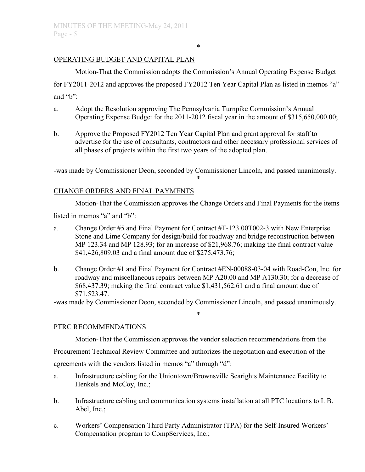# OPERATING BUDGET AND CAPITAL PLAN

Motion-That the Commission adopts the Commission's Annual Operating Expense Budget for FY2011-2012 and approves the proposed FY2012 Ten Year Capital Plan as listed in memos "a" and "b":

\*

- a. Adopt the Resolution approving The Pennsylvania Turnpike Commission's Annual Operating Expense Budget for the 2011-2012 fiscal year in the amount of \$315,650,000.00;
- b. Approve the Proposed FY2012 Ten Year Capital Plan and grant approval for staff to advertise for the use of consultants, contractors and other necessary professional services of all phases of projects within the first two years of the adopted plan.

-was made by Commissioner Deon, seconded by Commissioner Lincoln, and passed unanimously. \*

# CHANGE ORDERS AND FINAL PAYMENTS

Motion-That the Commission approves the Change Orders and Final Payments for the items

listed in memos "a" and "b":

- a. Change Order #5 and Final Payment for Contract #T-123.00T002-3 with New Enterprise Stone and Lime Company for design/build for roadway and bridge reconstruction between MP 123.34 and MP 128.93; for an increase of \$21,968.76; making the final contract value \$41,426,809.03 and a final amount due of \$275,473.76;
- b. Change Order #1 and Final Payment for Contract #EN-00088-03-04 with Road-Con, Inc. for roadway and miscellaneous repairs between MP A20.00 and MP A130.30; for a decrease of \$68,437.39; making the final contract value \$1,431,562.61 and a final amount due of \$71,523.47.

-was made by Commissioner Deon, seconded by Commissioner Lincoln, and passed unanimously.

\*

## PTRC RECOMMENDATIONS

Motion-That the Commission approves the vendor selection recommendations from the Procurement Technical Review Committee and authorizes the negotiation and execution of the agreements with the vendors listed in memos "a" through "d":

- a. Infrastructure cabling for the Uniontown/Brownsville Searights Maintenance Facility to Henkels and McCoy, Inc.;
- b. Infrastructure cabling and communication systems installation at all PTC locations to I. B. Abel, Inc.;
- c. Workers' Compensation Third Party Administrator (TPA) for the Self-Insured Workers' Compensation program to CompServices, Inc.;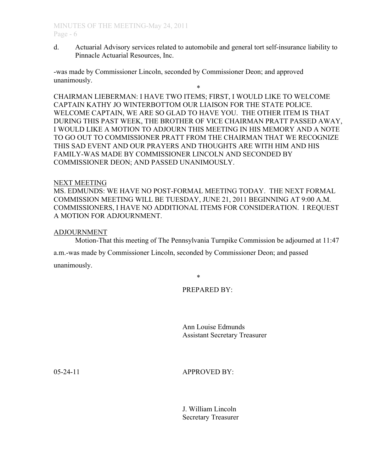d. Actuarial Advisory services related to automobile and general tort self-insurance liability to Pinnacle Actuarial Resources, Inc.

-was made by Commissioner Lincoln, seconded by Commissioner Deon; and approved unanimously.

\* CHAIRMAN LIEBERMAN: I HAVE TWO ITEMS; FIRST, I WOULD LIKE TO WELCOME CAPTAIN KATHY JO WINTERBOTTOM OUR LIAISON FOR THE STATE POLICE. WELCOME CAPTAIN, WE ARE SO GLAD TO HAVE YOU. THE OTHER ITEM IS THAT DURING THIS PAST WEEK, THE BROTHER OF VICE CHAIRMAN PRATT PASSED AWAY, I WOULD LIKE A MOTION TO ADJOURN THIS MEETING IN HIS MEMORY AND A NOTE TO GO OUT TO COMMISSIONER PRATT FROM THE CHAIRMAN THAT WE RECOGNIZE THIS SAD EVENT AND OUR PRAYERS AND THOUGHTS ARE WITH HIM AND HIS FAMILY-WAS MADE BY COMMISSIONER LINCOLN AND SECONDED BY COMMISSIONER DEON; AND PASSED UNANIMOUSLY.

### NEXT MEETING

MS. EDMUNDS: WE HAVE NO POST-FORMAL MEETING TODAY. THE NEXT FORMAL COMMISSION MEETING WILL BE TUESDAY, JUNE 21, 2011 BEGINNING AT 9:00 A.M. COMMISSIONERS, I HAVE NO ADDITIONAL ITEMS FOR CONSIDERATION. I REQUEST A MOTION FOR ADJOURNMENT.

### ADJOURNMENT

Motion-That this meeting of The Pennsylvania Turnpike Commission be adjourned at 11:47

a.m.-was made by Commissioner Lincoln, seconded by Commissioner Deon; and passed

unanimously.

\*

# PREPARED BY:

Ann Louise Edmunds Assistant Secretary Treasurer

05-24-11 **APPROVED BY:** 

J. William Lincoln Secretary Treasurer